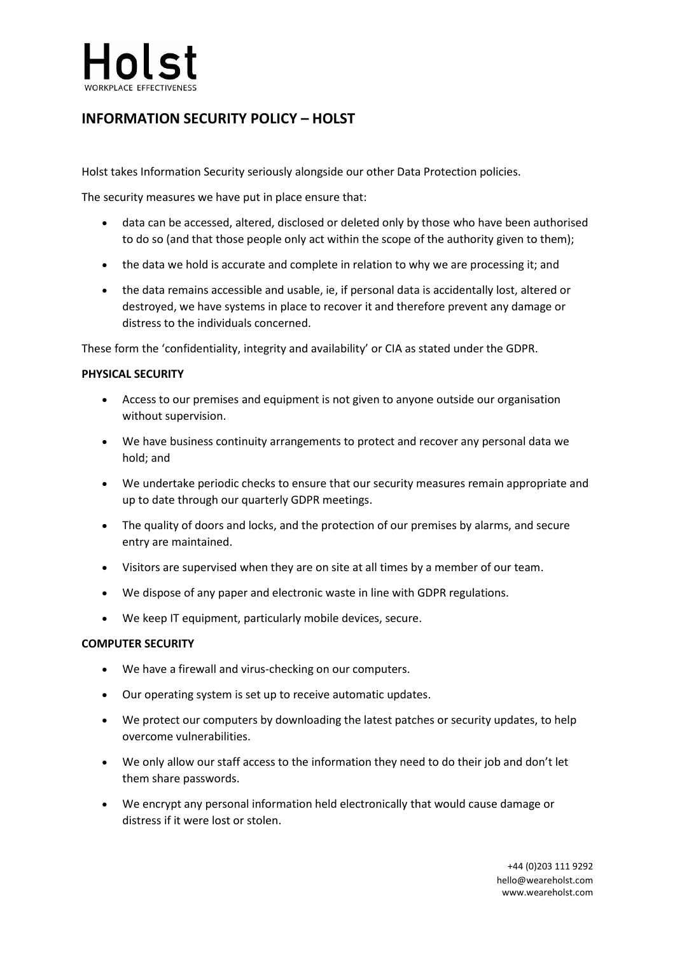# $ln s$

## **INFORMATION SECURITY POLICY – HOLST**

Holst takes Information Security seriously alongside our other Data Protection policies.

The security measures we have put in place ensure that:

- data can be accessed, altered, disclosed or deleted only by those who have been authorised to do so (and that those people only act within the scope of the authority given to them);
- the data we hold is accurate and complete in relation to why we are processing it; and
- the data remains accessible and usable, ie, if personal data is accidentally lost, altered or destroyed, we have systems in place to recover it and therefore prevent any damage or distress to the individuals concerned.

These form the 'confidentiality, integrity and availability' or CIA as stated under the GDPR.

### **PHYSICAL SECURITY**

- Access to our premises and equipment is not given to anyone outside our organisation without supervision.
- We have business continuity arrangements to protect and recover any personal data we hold; and
- We undertake periodic checks to ensure that our security measures remain appropriate and up to date through our quarterly GDPR meetings.
- The quality of doors and locks, and the protection of our premises by alarms, and secure entry are maintained.
- Visitors are supervised when they are on site at all times by a member of our team.
- We dispose of any paper and electronic waste in line with GDPR regulations.
- We keep IT equipment, particularly mobile devices, secure.

#### **COMPUTER SECURITY**

- We have a firewall and virus-checking on our computers.
- Our operating system is set up to receive automatic updates.
- We protect our computers by downloading the latest patches or security updates, to help overcome vulnerabilities.
- We only allow our staff access to the information they need to do their job and don't let them share passwords.
- We encrypt any personal information held electronically that would cause damage or distress if it were lost or stolen.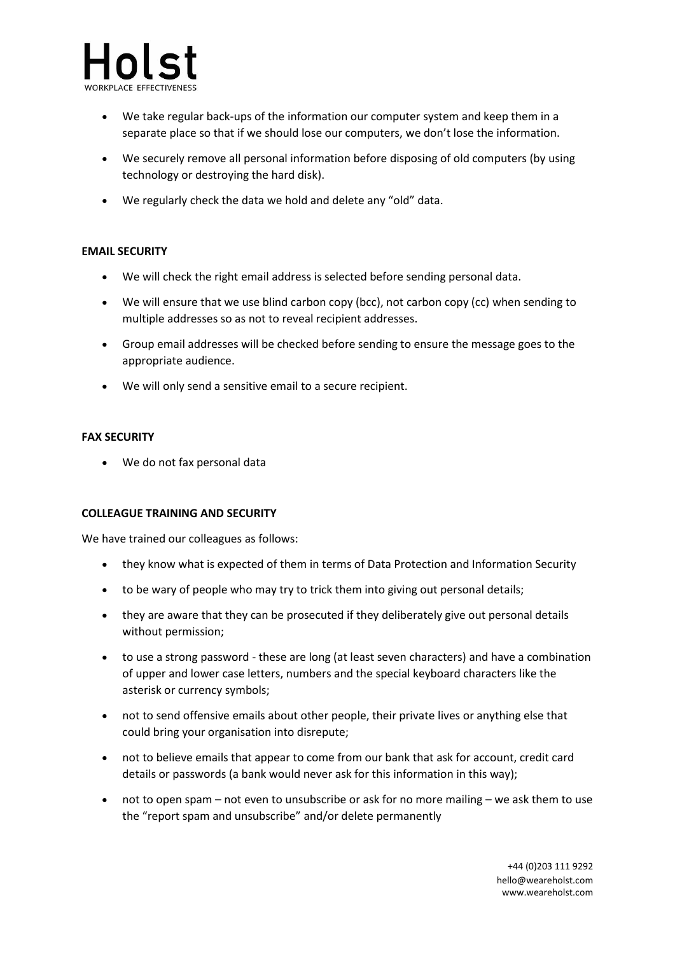

- We take regular back-ups of the information our computer system and keep them in a separate place so that if we should lose our computers, we don't lose the information.
- We securely remove all personal information before disposing of old computers (by using technology or destroying the hard disk).
- We regularly check the data we hold and delete any "old" data.

#### **EMAIL SECURITY**

- We will check the right email address is selected before sending personal data.
- We will ensure that we use blind carbon copy (bcc), not carbon copy (cc) when sending to multiple addresses so as not to reveal recipient addresses.
- Group email addresses will be checked before sending to ensure the message goes to the appropriate audience.
- We will only send a sensitive email to a secure recipient.

#### **FAX SECURITY**

• We do not fax personal data

#### **COLLEAGUE TRAINING AND SECURITY**

We have trained our colleagues as follows:

- they know what is expected of them in terms of Data Protection and Information Security
- to be wary of people who may try to trick them into giving out personal details;
- they are aware that they can be prosecuted if they deliberately give out personal details without permission;
- to use a strong password these are long (at least seven characters) and have a combination of upper and lower case letters, numbers and the special keyboard characters like the asterisk or currency symbols;
- not to send offensive emails about other people, their private lives or anything else that could bring your organisation into disrepute;
- not to believe emails that appear to come from our bank that ask for account, credit card details or passwords (a bank would never ask for this information in this way);
- not to open spam not even to unsubscribe or ask for no more mailing we ask them to use the "report spam and unsubscribe" and/or delete permanently